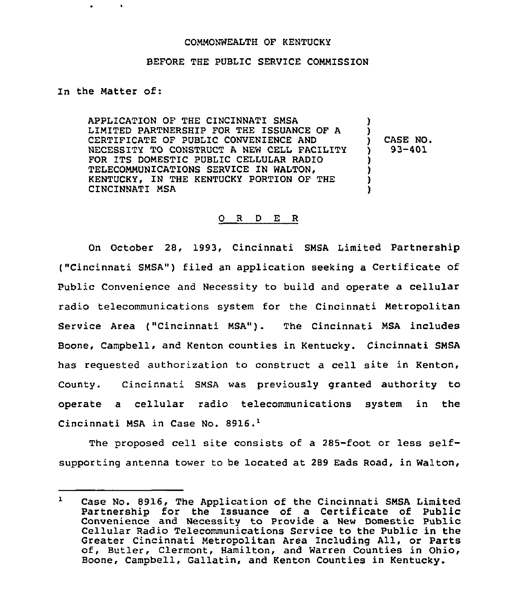## COMMONWEALTH OF KENTUCKY

## BEFORE THE PUBLIC SERVICE COMMISSION

In the Matter of:

APPLICATION OF THE CINCINNATI SMSA LIMITED PARTNERSHIP FOR THE ISSUANCE OF A  $\mathbf{I}$ CERTIFICATE OF PUBLIC CONVENIENCE AND CASE NO. <sup>)</sup> NECESSITY TO CONSTRUCT A NEW CELL FACILITY 93-401  $\mathbf{y}$ FOR ITS DOMESTIC PUBLIC CELLULAR RADIO  $\mathbf{I}$ TELECOMMUNICATIONS SERVICE IN WALTON,  $\lambda$ j. KENTUCKY, IN THE KENTUCKY PORTION OF THE CINCINNATI MSA

## O R D E R

On October 28, 1993, Cincinnati SMSA Limited Partnership ("Cincinnati SMSA") filed an application seeking a Certificate of Public Convenience and Necessity to build and operate a cellular radio telecommunications system for the Cincinnati Metropolitan Service Area ("Cincinnati MSA"). The Cincinnati MSA includes Boone, Campbell, and Kenton counties in Kentucky. Cincinnati SMSA has reguested authorization to construct a cell site in Kenton, County. Cincinnati SMSA was previously granted authority to operate a cellular radio telecommunications system in the Cincinnati MSA in Case No. 8916.<sup>1</sup>

The proposed cell site consists of a 285-foot or less selfsupporting antenna tower to be located at 289 Eads Road, in Walton,

 $\mathbf{1}$ Case No. 8916, The Application of the Cincinnati SMSA Limited Partnership for the Issuance of a Certificate of Public Convenience and Necessity to Provide a New Domestic Public Cellular Radio Telecommunications Service to the Public in the Greater Cincinnati Metropolitan Area Including All, or Parts<br>of, Butler, Clermont, Hamilton, and Warren Counties in Ohio, Boone, Campbell, Gallatin, and Kenton Counties in Kentucky.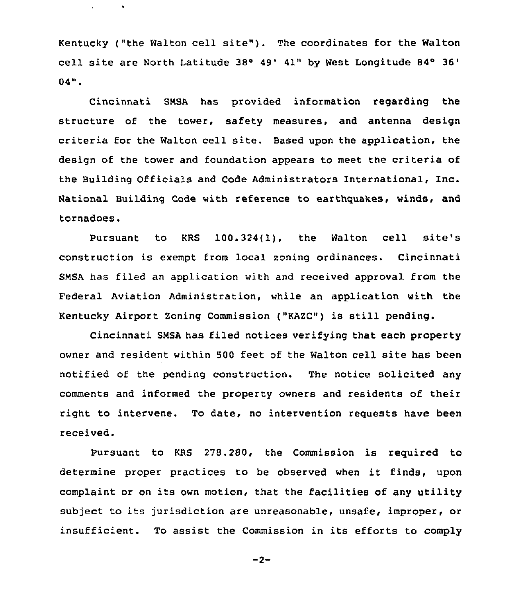Kentucky ("the Walton cell site"). The coordinates for the Walton cell site are North Latitude 38° 49' 41" by West Longitude 84° 36' 4 II

Cincinnati SMSA has provided information regarding the structure of the tower, safety measures, and antenna design criteria for the Walton cell site. Based upon the application, the design of the tower and foundation appears to meet the criteria of the Building Officials and Code Administrators International, Inc. National Building Code with reference to earthquakes, winds, and tornadoes.

Pursuant to KRS 100.324(l), the Walton cell site's construction is exempt from local zoning ordinances. Cincinnati SNSA has filed an application with and received approval from the Federal Aviation Administration, while an application with the Kentucky Airport Zoning Commission ("KAZC") is still pending.

Cincinnati SNSA has filed notices verifying that each property owner and resident within 500 feet of the Walton cell site has been notified of the pending construction. The notice solicited any comments and informed the property owners and residents of their right to intervene. To date, no intervention requests have been received.

Pursuant to KRS 278.280, the Commission is required to determine proper practices to be observed when it finds, upon complaint or on its own motion, that the facilities of any utility subject to its jurisdiction are unreasonable, unsafe, improper, or insufficient. To assist the Commission in its efforts to comply

 $-2-$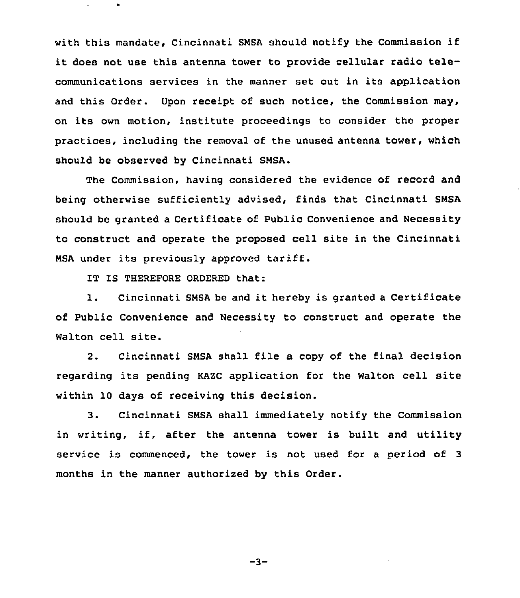with this mandate, Cincinnati SNSA should notify the Commission if it does not use this antenna tower to provide cellular radio telecommunications services in the manner set out in its application and this Order. Upon receipt of such notice, the Commission may, on its own motion, institute proceedings to consider the proper practices, including the removal of the unused antenna tower, which should be observed by Cincinnati SNSA.

The Commission, having considered the evidence of record and being otherwise sufficiently advised, finds that Cincinnati SNSA should be granted a Certificate of Public Convenience and Necessity to construct and operate the proposed cell site in the Cincinnati NSA under its previously approved tariff.

IT IS THEREFORE ORDERED that:

1. Cincinnati SNSA be and it hereby is granted <sup>a</sup> Certificate of Public Convenience and Necessity to construct and operate the Walton cell site.

2. Cincinnati SNSA shall file a copy of the final decision regarding its pending KAZC application for the Walton cell site within 10 days of receiving this decision.

3. Cincinnati SNSA shall immediately notify the Commission in writing, if, after the antenna tower is built and utility service is commenced, the tower is not used for a period of <sup>3</sup> months in the manner authorized by this Order.

 $-3-$